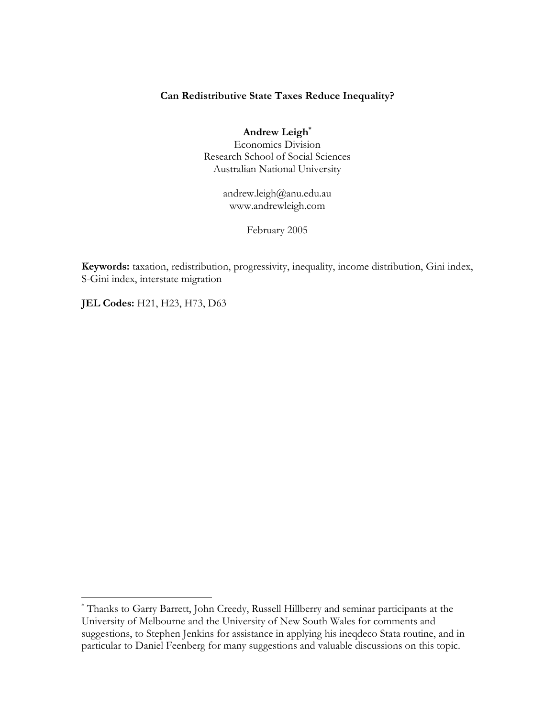#### **Can Redistributive State Taxes Reduce Inequality?**

**Andrew Leig[h\\*](#page-0-0)** Economics Division Research School of Social Sciences Australian National University

> andrew.leigh@anu.edu.au www.andrewleigh.com

> > February 2005

**Keywords:** taxation, redistribution, progressivity, inequality, income distribution, Gini index, S-Gini index, interstate migration

**JEL Codes: H21, H23, H73, D63** 

1

<span id="page-0-0"></span><sup>\*</sup> Thanks to Garry Barrett, John Creedy, Russell Hillberry and seminar participants at the University of Melbourne and the University of New South Wales for comments and suggestions, to Stephen Jenkins for assistance in applying his ineqdeco Stata routine, and in particular to Daniel Feenberg for many suggestions and valuable discussions on this topic.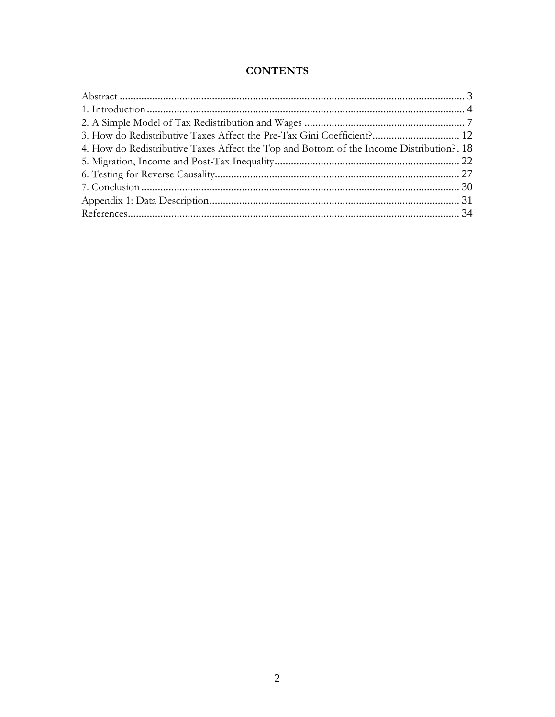### **CONTENTS**

| 3. How do Redistributive Taxes Affect the Pre-Tax Gini Coefficient? 12                   |  |
|------------------------------------------------------------------------------------------|--|
| 4. How do Redistributive Taxes Affect the Top and Bottom of the Income Distribution?. 18 |  |
|                                                                                          |  |
|                                                                                          |  |
|                                                                                          |  |
|                                                                                          |  |
|                                                                                          |  |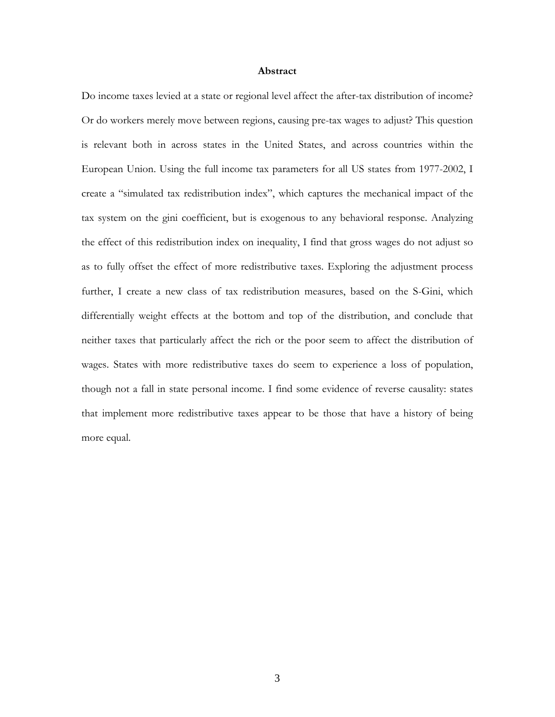#### **Abstract**

<span id="page-2-0"></span>Do income taxes levied at a state or regional level affect the after-tax distribution of income? Or do workers merely move between regions, causing pre-tax wages to adjust? This question is relevant both in across states in the United States, and across countries within the European Union. Using the full income tax parameters for all US states from 1977-2002, I create a "simulated tax redistribution index", which captures the mechanical impact of the tax system on the gini coefficient, but is exogenous to any behavioral response. Analyzing the effect of this redistribution index on inequality, I find that gross wages do not adjust so as to fully offset the effect of more redistributive taxes. Exploring the adjustment process further, I create a new class of tax redistribution measures, based on the S-Gini, which differentially weight effects at the bottom and top of the distribution, and conclude that neither taxes that particularly affect the rich or the poor seem to affect the distribution of wages. States with more redistributive taxes do seem to experience a loss of population, though not a fall in state personal income. I find some evidence of reverse causality: states that implement more redistributive taxes appear to be those that have a history of being more equal.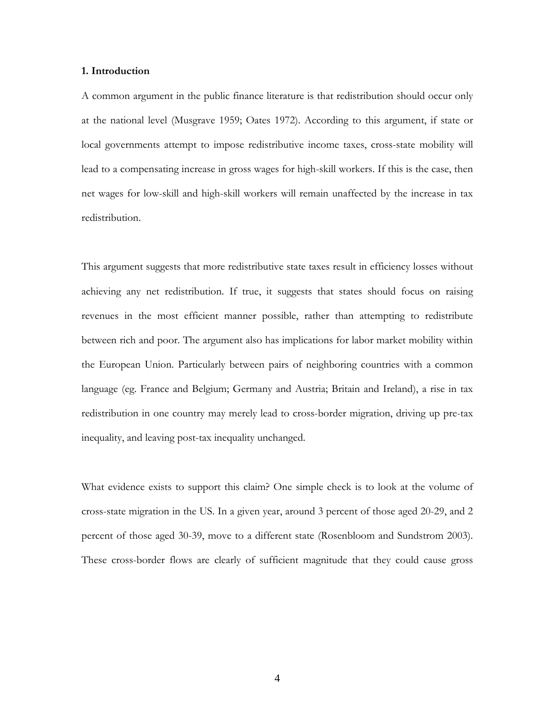#### <span id="page-3-0"></span>**1. Introduction**

A common argument in the public finance literature is that redistribution should occur only at the national level (Musgrave 1959; Oates 1972). According to this argument, if state or local governments attempt to impose redistributive income taxes, cross-state mobility will lead to a compensating increase in gross wages for high-skill workers. If this is the case, then net wages for low-skill and high-skill workers will remain unaffected by the increase in tax redistribution.

This argument suggests that more redistributive state taxes result in efficiency losses without achieving any net redistribution. If true, it suggests that states should focus on raising revenues in the most efficient manner possible, rather than attempting to redistribute between rich and poor. The argument also has implications for labor market mobility within the European Union. Particularly between pairs of neighboring countries with a common language (eg. France and Belgium; Germany and Austria; Britain and Ireland), a rise in tax redistribution in one country may merely lead to cross-border migration, driving up pre-tax inequality, and leaving post-tax inequality unchanged.

What evidence exists to support this claim? One simple check is to look at the volume of cross-state migration in the US. In a given year, around 3 percent of those aged 20-29, and 2 percent of those aged 30-39, move to a different state (Rosenbloom and Sundstrom 2003). These cross-border flows are clearly of sufficient magnitude that they could cause gross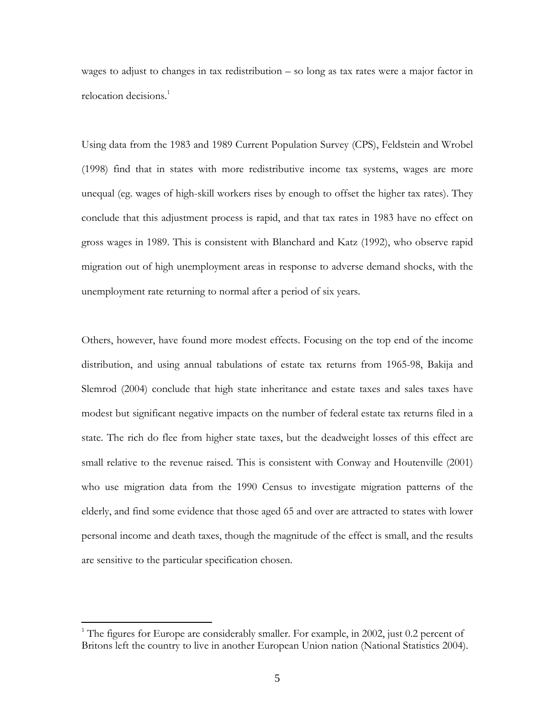wages to adjust to changes in tax redistribution – so long as tax rates were a major factor in relocation decisions.<sup>1</sup>

Using data from the 1983 and 1989 Current Population Survey (CPS), Feldstein and Wrobel (1998) find that in states with more redistributive income tax systems, wages are more unequal (eg. wages of high-skill workers rises by enough to offset the higher tax rates). They conclude that this adjustment process is rapid, and that tax rates in 1983 have no effect on gross wages in 1989. This is consistent with Blanchard and Katz (1992), who observe rapid migration out of high unemployment areas in response to adverse demand shocks, with the unemployment rate returning to normal after a period of six years.

Others, however, have found more modest effects. Focusing on the top end of the income distribution, and using annual tabulations of estate tax returns from 1965-98, Bakija and Slemrod (2004) conclude that high state inheritance and estate taxes and sales taxes have modest but significant negative impacts on the number of federal estate tax returns filed in a state. The rich do flee from higher state taxes, but the deadweight losses of this effect are small relative to the revenue raised. This is consistent with Conway and Houtenville (2001) who use migration data from the 1990 Census to investigate migration patterns of the elderly, and find some evidence that those aged 65 and over are attracted to states with lower personal income and death taxes, though the magnitude of the effect is small, and the results are sensitive to the particular specification chosen.

 $\overline{a}$ 

<span id="page-4-0"></span><sup>&</sup>lt;sup>1</sup> The figures for Europe are considerably smaller. For example, in 2002, just 0.2 percent of Britons left the country to live in another European Union nation (National Statistics 2004).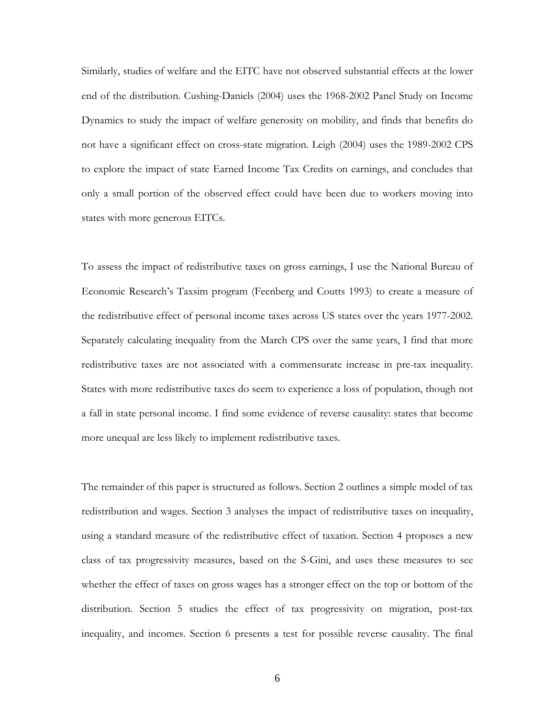Similarly, studies of welfare and the EITC have not observed substantial effects at the lower end of the distribution. Cushing-Daniels (2004) uses the 1968-2002 Panel Study on Income Dynamics to study the impact of welfare generosity on mobility, and finds that benefits do not have a significant effect on cross-state migration. Leigh (2004) uses the 1989-2002 CPS to explore the impact of state Earned Income Tax Credits on earnings, and concludes that only a small portion of the observed effect could have been due to workers moving into states with more generous EITCs.

To assess the impact of redistributive taxes on gross earnings, I use the National Bureau of Economic Research's Taxsim program (Feenberg and Coutts 1993) to create a measure of the redistributive effect of personal income taxes across US states over the years 1977-2002. Separately calculating inequality from the March CPS over the same years, I find that more redistributive taxes are not associated with a commensurate increase in pre-tax inequality. States with more redistributive taxes do seem to experience a loss of population, though not a fall in state personal income. I find some evidence of reverse causality: states that become more unequal are less likely to implement redistributive taxes.

The remainder of this paper is structured as follows. Section 2 outlines a simple model of tax redistribution and wages. Section 3 analyses the impact of redistributive taxes on inequality, using a standard measure of the redistributive effect of taxation. Section 4 proposes a new class of tax progressivity measures, based on the S-Gini, and uses these measures to see whether the effect of taxes on gross wages has a stronger effect on the top or bottom of the distribution. Section 5 studies the effect of tax progressivity on migration, post-tax inequality, and incomes. Section 6 presents a test for possible reverse causality. The final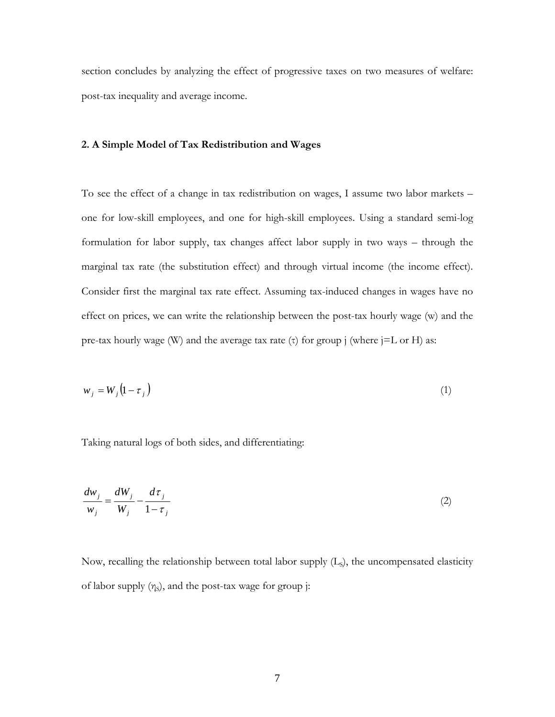<span id="page-6-0"></span>section concludes by analyzing the effect of progressive taxes on two measures of welfare: post-tax inequality and average income.

#### **2. A Simple Model of Tax Redistribution and Wages**

To see the effect of a change in tax redistribution on wages, I assume two labor markets – one for low-skill employees, and one for high-skill employees. Using a standard semi-log formulation for labor supply, tax changes affect labor supply in two ways – through the marginal tax rate (the substitution effect) and through virtual income (the income effect). Consider first the marginal tax rate effect. Assuming tax-induced changes in wages have no effect on prices, we can write the relationship between the post-tax hourly wage (w) and the pre-tax hourly wage (W) and the average tax rate (τ) for group j (where  $j=L$  or H) as:

$$
w_j = W_j \left( 1 - \tau_j \right) \tag{1}
$$

Taking natural logs of both sides, and differentiating:

$$
\frac{dw_j}{w_j} = \frac{dW_j}{W_j} - \frac{d\tau_j}{1 - \tau_j} \tag{2}
$$

Now, recalling the relationship between total labor supply  $(L<sub>s</sub>)$ , the uncompensated elasticity of labor supply  $(\eta_s)$ , and the post-tax wage for group j: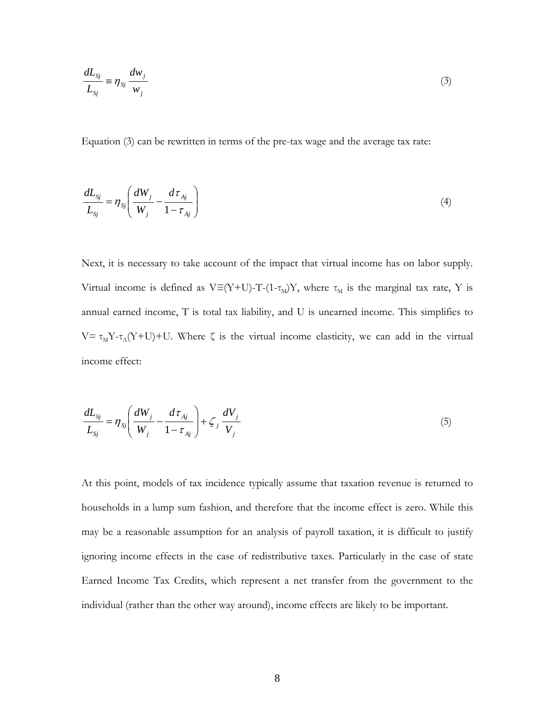$$
\frac{dL_{sj}}{L_{sj}} \equiv \eta_{sj} \frac{dw_j}{w_j} \tag{3}
$$

Equation (3) can be rewritten in terms of the pre-tax wage and the average tax rate:

$$
\frac{dL_{Sj}}{L_{Sj}} = \eta_{Sj} \left( \frac{dW_j}{W_j} - \frac{d\tau_{Aj}}{1 - \tau_{Aj}} \right) \tag{4}
$$

Next, it is necessary to take account of the impact that virtual income has on labor supply. Virtual income is defined as V≡(Y+U)-T-(1- $\tau_M$ )Y, where  $\tau_M$  is the marginal tax rate, Y is annual earned income, T is total tax liability, and U is unearned income. This simplifies to V=  $\tau_M Y - \tau_A (Y+U) + U$ . Where  $\zeta$  is the virtual income elasticity, we can add in the virtual income effect:

$$
\frac{dL_{sj}}{L_{sj}} = \eta_{sj} \left( \frac{dW_j}{W_j} - \frac{d\tau_{Aj}}{1 - \tau_{Aj}} \right) + \zeta_j \frac{dV_j}{V_j}
$$
\n<sup>(5)</sup>

At this point, models of tax incidence typically assume that taxation revenue is returned to households in a lump sum fashion, and therefore that the income effect is zero. While this may be a reasonable assumption for an analysis of payroll taxation, it is difficult to justify ignoring income effects in the case of redistributive taxes. Particularly in the case of state Earned Income Tax Credits, which represent a net transfer from the government to the individual (rather than the other way around), income effects are likely to be important.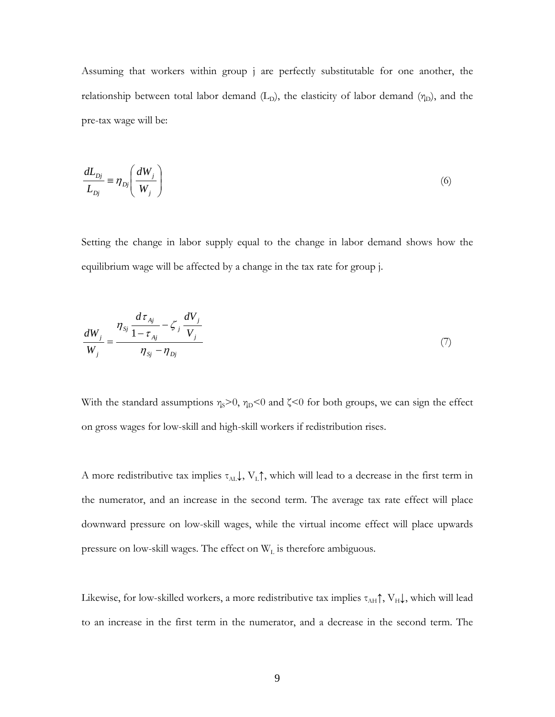Assuming that workers within group j are perfectly substitutable for one another, the relationship between total labor demand  $(L_D)$ , the elasticity of labor demand  $(\eta_D)$ , and the pre-tax wage will be:

$$
\frac{dL_{Dj}}{L_{Dj}} = \eta_{Dj} \left( \frac{dW_j}{W_j} \right) \tag{6}
$$

Setting the change in labor supply equal to the change in labor demand shows how the equilibrium wage will be affected by a change in the tax rate for group j.

$$
\frac{dW_{j}}{W_{j}} = \frac{\eta_{sj} \frac{d\tau_{Aj}}{1 - \tau_{Aj}} - \zeta_{j} \frac{dV_{j}}{V_{j}}}{\eta_{sj} - \eta_{Dj}}
$$
\n(7)

With the standard assumptions  $\eta_s$ >0,  $\eta_D$ <0 and  $\zeta$ <0 for both groups, we can sign the effect on gross wages for low-skill and high-skill workers if redistribution rises.

A more redistributive tax implies  $\tau_{AL}$ ,  $V_L \uparrow$ , which will lead to a decrease in the first term in the numerator, and an increase in the second term. The average tax rate effect will place downward pressure on low-skill wages, while the virtual income effect will place upwards pressure on low-skill wages. The effect on  $W_L$  is therefore ambiguous.

Likewise, for low-skilled workers, a more redistributive tax implies  $\tau_{AH} \uparrow$ ,  $V_H \downarrow$ , which will lead to an increase in the first term in the numerator, and a decrease in the second term. The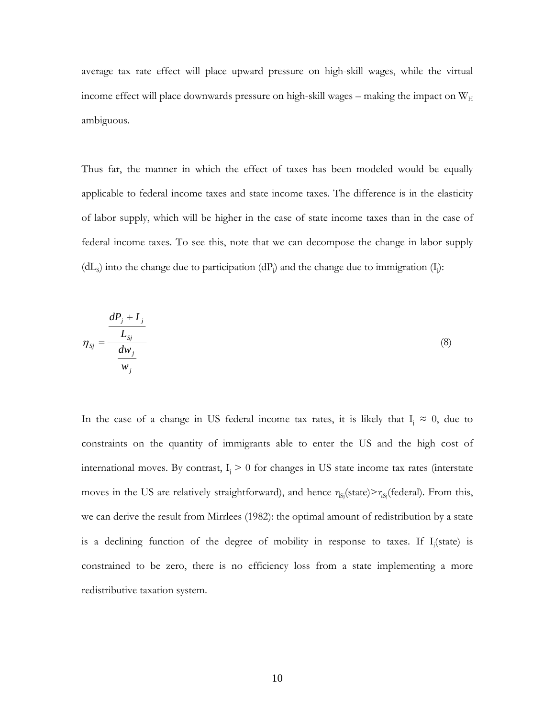average tax rate effect will place upward pressure on high-skill wages, while the virtual income effect will place downwards pressure on high-skill wages – making the impact on  $W_H$ ambiguous.

Thus far, the manner in which the effect of taxes has been modeled would be equally applicable to federal income taxes and state income taxes. The difference is in the elasticity of labor supply, which will be higher in the case of state income taxes than in the case of federal income taxes. To see this, note that we can decompose the change in labor supply (dL<sub>s</sub>) into the change due to participation (dP<sub>i</sub>) and the change due to immigration (I<sub>i</sub>):

$$
\eta_{Sj} = \frac{\frac{dP_j + I_j}{L_{Sj}}}{\frac{dw_j}{w_j}}
$$
\n(8)

In the case of a change in US federal income tax rates, it is likely that  $I_i \approx 0$ , due to constraints on the quantity of immigrants able to enter the US and the high cost of international moves. By contrast,  $I_i > 0$  for changes in US state income tax rates (interstate moves in the US are relatively straightforward), and hence  $\eta_{\text{Si}}(\text{state}) > \eta_{\text{Si}}(\text{federal})$ . From this, we can derive the result from Mirrlees (1982): the optimal amount of redistribution by a state is a declining function of the degree of mobility in response to taxes. If  $I_j$ (state) is constrained to be zero, there is no efficiency loss from a state implementing a more redistributive taxation system.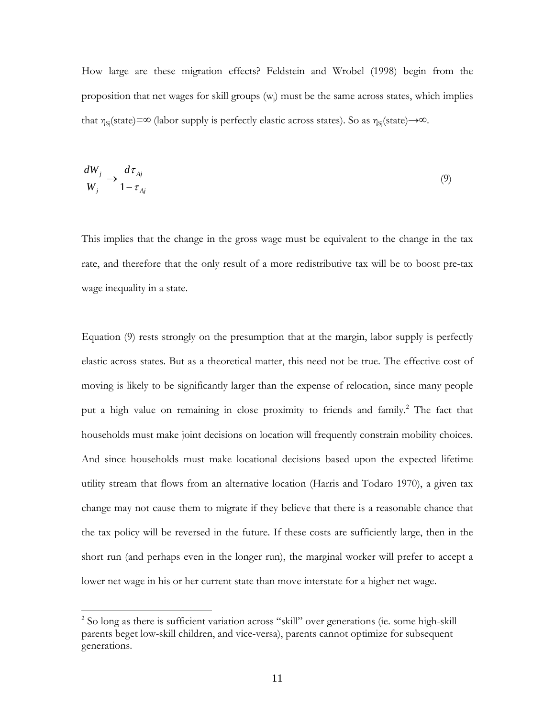How large are these migration effects? Feldstein and Wrobel (1998) begin from the proposition that net wages for skill groups  $(w_i)$  must be the same across states, which implies that  $\eta_{si}(state) = \infty$  (labor supply is perfectly elastic across states). So as  $\eta_{si}(state) \rightarrow \infty$ .

$$
\frac{dW_j}{W_j} \to \frac{d\tau_{Aj}}{1 - \tau_{Aj}}
$$
\n(9)

This implies that the change in the gross wage must be equivalent to the change in the tax rate, and therefore that the only result of a more redistributive tax will be to boost pre-tax wage inequality in a state.

Equation (9) rests strongly on the presumption that at the margin, labor supply is perfectly elastic across states. But as a theoretical matter, this need not be true. The effective cost of moving is likely to be significantly larger than the expense of relocation, since many people puta high value on remaining in close proximity to friends and family.<sup>2</sup> The fact that households must make joint decisions on location will frequently constrain mobility choices. And since households must make locational decisions based upon the expected lifetime utility stream that flows from an alternative location (Harris and Todaro 1970), a given tax change may not cause them to migrate if they believe that there is a reasonable chance that the tax policy will be reversed in the future. If these costs are sufficiently large, then in the short run (and perhaps even in the longer run), the marginal worker will prefer to accept a lower net wage in his or her current state than move interstate for a higher net wage.

<span id="page-10-0"></span> 2 So long as there is sufficient variation across "skill" over generations (ie. some high-skill parents beget low-skill children, and vice-versa), parents cannot optimize for subsequent generations.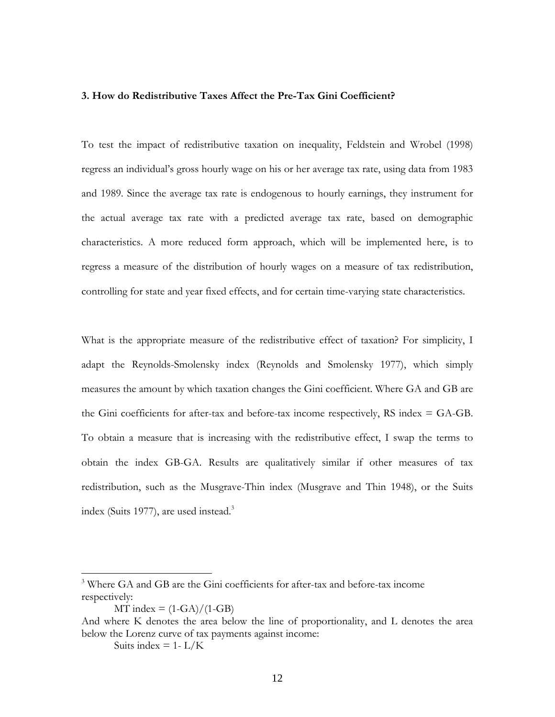#### <span id="page-11-0"></span>**3. How do Redistributive Taxes Affect the Pre-Tax Gini Coefficient?**

To test the impact of redistributive taxation on inequality, Feldstein and Wrobel (1998) regress an individual's gross hourly wage on his or her average tax rate, using data from 1983 and 1989. Since the average tax rate is endogenous to hourly earnings, they instrument for the actual average tax rate with a predicted average tax rate, based on demographic characteristics. A more reduced form approach, which will be implemented here, is to regress a measure of the distribution of hourly wages on a measure of tax redistribution, controlling for state and year fixed effects, and for certain time-varying state characteristics.

What is the appropriate measure of the redistributive effect of taxation? For simplicity, I adapt the Reynolds-Smolensky index (Reynolds and Smolensky 1977), which simply measures the amount by which taxation changes the Gini coefficient. Where GA and GB are the Gini coefficients for after-tax and before-tax income respectively, RS index  $=$  GA-GB. To obtain a measure that is increasing with the redistributive effect, I swap the terms to obtain the index GB-GA. Results are qualitatively similar if other measures of tax redistribution, such as the Musgrave-Thin index (Musgrave and Thin 1948), or the Suits index (Suits 1977), are used instead.<sup>[3](#page-11-1)</sup>

Suits index  $= 1 - L/K$ 

1

<span id="page-11-1"></span><sup>&</sup>lt;sup>3</sup> Where GA and GB are the Gini coefficients for after-tax and before-tax income respectively:

 $MT$  index =  $(1-\text{GA})/(1-\text{GB})$ 

And where K denotes the area below the line of proportionality, and L denotes the area below the Lorenz curve of tax payments against income: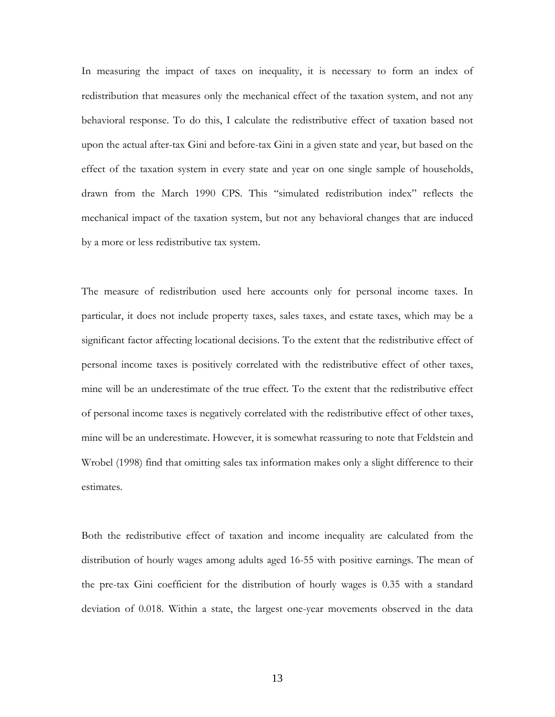In measuring the impact of taxes on inequality, it is necessary to form an index of redistribution that measures only the mechanical effect of the taxation system, and not any behavioral response. To do this, I calculate the redistributive effect of taxation based not upon the actual after-tax Gini and before-tax Gini in a given state and year, but based on the effect of the taxation system in every state and year on one single sample of households, drawn from the March 1990 CPS. This "simulated redistribution index" reflects the mechanical impact of the taxation system, but not any behavioral changes that are induced by a more or less redistributive tax system.

The measure of redistribution used here accounts only for personal income taxes. In particular, it does not include property taxes, sales taxes, and estate taxes, which may be a significant factor affecting locational decisions. To the extent that the redistributive effect of personal income taxes is positively correlated with the redistributive effect of other taxes, mine will be an underestimate of the true effect. To the extent that the redistributive effect of personal income taxes is negatively correlated with the redistributive effect of other taxes, mine will be an underestimate. However, it is somewhat reassuring to note that Feldstein and Wrobel (1998) find that omitting sales tax information makes only a slight difference to their estimates.

Both the redistributive effect of taxation and income inequality are calculated from the distribution of hourly wages among adults aged 16-55 with positive earnings. The mean of the pre-tax Gini coefficient for the distribution of hourly wages is 0.35 with a standard deviation of 0.018. Within a state, the largest one-year movements observed in the data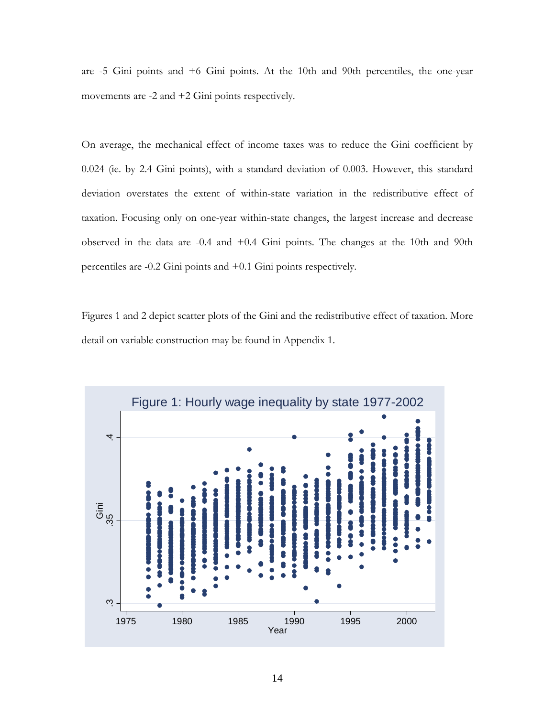are -5 Gini points and +6 Gini points. At the 10th and 90th percentiles, the one-year movements are -2 and +2 Gini points respectively.

On average, the mechanical effect of income taxes was to reduce the Gini coefficient by 0.024 (ie. by 2.4 Gini points), with a standard deviation of 0.003. However, this standard deviation overstates the extent of within-state variation in the redistributive effect of taxation. Focusing only on one-year within-state changes, the largest increase and decrease observed in the data are -0.4 and +0.4 Gini points. The changes at the 10th and 90th percentiles are -0.2 Gini points and +0.1 Gini points respectively.

Figures 1 and 2 depict scatter plots of the Gini and the redistributive effect of taxation. More detail on variable construction may be found in Appendix 1.

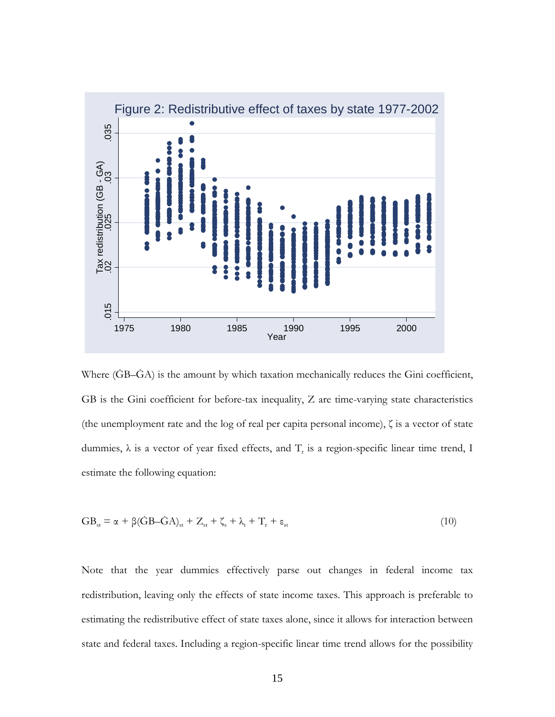

Where (ĠB–ĠA) is the amount by which taxation mechanically reduces the Gini coefficient, GB is the Gini coefficient for before-tax inequality, Z are time-varying state characteristics (the unemployment rate and the log of real per capita personal income), ζ is a vector of state dummies,  $\lambda$  is a vector of year fixed effects, and  $T_r$  is a region-specific linear time trend, I estimate the following equation:

$$
GB_{st} = \alpha + \beta(\dot{G}B - \dot{G}A)_{st} + Z_{st} + \zeta_s + \lambda_t + T_r + \varepsilon_{st}
$$
\n(10)

Note that the year dummies effectively parse out changes in federal income tax redistribution, leaving only the effects of state income taxes. This approach is preferable to estimating the redistributive effect of state taxes alone, since it allows for interaction between state and federal taxes. Including a region-specific linear time trend allows for the possibility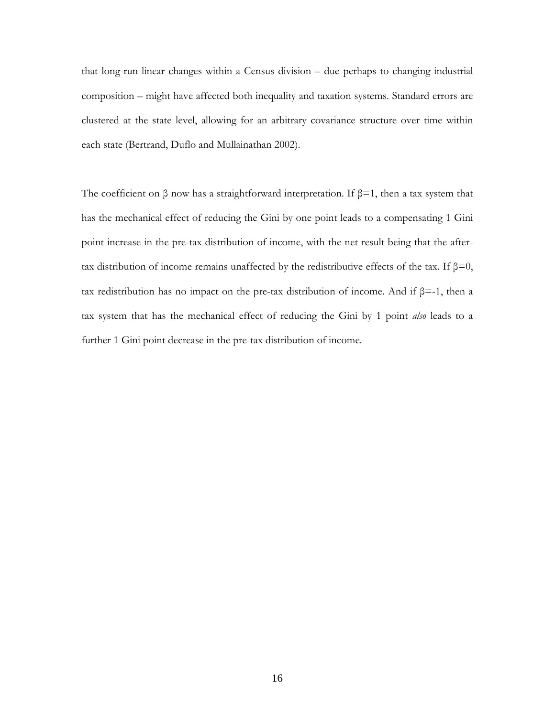that long-run linear changes within a Census division – due perhaps to changing industrial composition – might have affected both inequality and taxation systems. Standard errors are clustered at the state level, allowing for an arbitrary covariance structure over time within each state (Bertrand, Duflo and Mullainathan 2002).

The coefficient on  $\beta$  now has a straightforward interpretation. If  $\beta$ =1, then a tax system that has the mechanical effect of reducing the Gini by one point leads to a compensating 1 Gini point increase in the pre-tax distribution of income, with the net result being that the aftertax distribution of income remains unaffected by the redistributive effects of the tax. If  $β=0$ , tax redistribution has no impact on the pre-tax distribution of income. And if β=-1, then a tax system that has the mechanical effect of reducing the Gini by 1 point *also* leads to a further 1 Gini point decrease in the pre-tax distribution of income.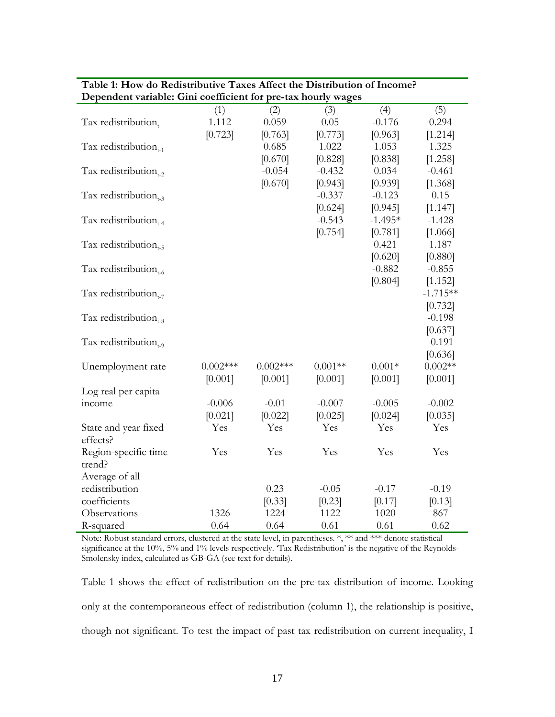| Dependent variable: Gini coefficient for pre-tax hourly wages |            |            |           |           |            |
|---------------------------------------------------------------|------------|------------|-----------|-----------|------------|
|                                                               | (1)        | (2)        | (3)       | (4)       | (5)        |
| Tax redistribution,                                           | 1.112      | 0.059      | 0.05      | $-0.176$  | 0.294      |
|                                                               | [0.723]    | [0.763]    | [0.773]   | [0.963]   | [1.214]    |
| Tax redistribution $_{t-1}$                                   |            | 0.685      | 1.022     | 1.053     | 1.325      |
|                                                               |            | [0.670]    | [0.828]   | [0.838]   | [1.258]    |
| Tax redistribution <sub>1-2</sub>                             |            | $-0.054$   | $-0.432$  | 0.034     | $-0.461$   |
|                                                               |            | [0.670]    | [0.943]   | [0.939]   | [1.368]    |
| Tax redistribution $_{t=3}$                                   |            |            | $-0.337$  | $-0.123$  | 0.15       |
|                                                               |            |            | [0.624]   | [0.945]   | [1.147]    |
| Tax redistribution $_{t=4}$                                   |            |            | $-0.543$  | $-1.495*$ | $-1.428$   |
|                                                               |            |            | [0.754]   | [0.781]   | [1.066]    |
| Tax redistribution $_{1.5}$                                   |            |            |           | 0.421     | 1.187      |
|                                                               |            |            |           | [0.620]   | [0.880]    |
| Tax redistribution $_{t=6}$                                   |            |            |           | $-0.882$  | $-0.855$   |
|                                                               |            |            |           | [0.804]   | [1.152]    |
| Tax redistribution $_{t-7}$                                   |            |            |           |           | $-1.715**$ |
|                                                               |            |            |           |           | [0.732]    |
| Tax redistribution $_{t=8}$                                   |            |            |           |           | $-0.198$   |
|                                                               |            |            |           |           | [0.637]    |
| Tax redistribution <sub>t-9</sub>                             |            |            |           |           | $-0.191$   |
|                                                               |            |            |           |           | [0.636]    |
| Unemployment rate                                             | $0.002***$ | $0.002***$ | $0.001**$ | $0.001*$  | $0.002**$  |
|                                                               | [0.001]    | [0.001]    | [0.001]   | [0.001]   | [0.001]    |
| Log real per capita                                           |            |            |           |           |            |
| income                                                        | $-0.006$   | $-0.01$    | $-0.007$  | $-0.005$  | $-0.002$   |
|                                                               | [0.021]    | [0.022]    | [0.025]   | [0.024]   | [0.035]    |
| State and year fixed                                          | Yes        | Yes        | Yes       | Yes       | Yes        |
| effects?                                                      |            |            |           |           |            |
| Region-specific time                                          | Yes        | Yes        | Yes       | Yes       | Yes        |
| trend?                                                        |            |            |           |           |            |
| Average of all                                                |            |            |           |           |            |
| redistribution                                                |            | 0.23       | $-0.05$   | $-0.17$   | $-0.19$    |
| coefficients                                                  |            | [0.33]     | [0.23]    | [0.17]    | [0.13]     |
| Observations                                                  | 1326       | 1224       | 1122      | 1020      | 867        |
| R-squared                                                     | 0.64       | 0.64       | 0.61      | 0.61      | 0.62       |

#### **Table 1: How do Redistributive Taxes Affect the Distribution of Income? Dependent variable: Gini coefficient for pre-tax hourly wages**

Note: Robust standard errors, clustered at the state level, in parentheses. \*, \*\* and \*\*\* denote statistical significance at the 10%, 5% and 1% levels respectively. 'Tax Redistribution' is the negative of the Reynolds-Smolensky index, calculated as GB-GA (see text for details).

Table 1 shows the effect of redistribution on the pre-tax distribution of income. Looking only at the contemporaneous effect of redistribution (column 1), the relationship is positive, though not significant. To test the impact of past tax redistribution on current inequality, I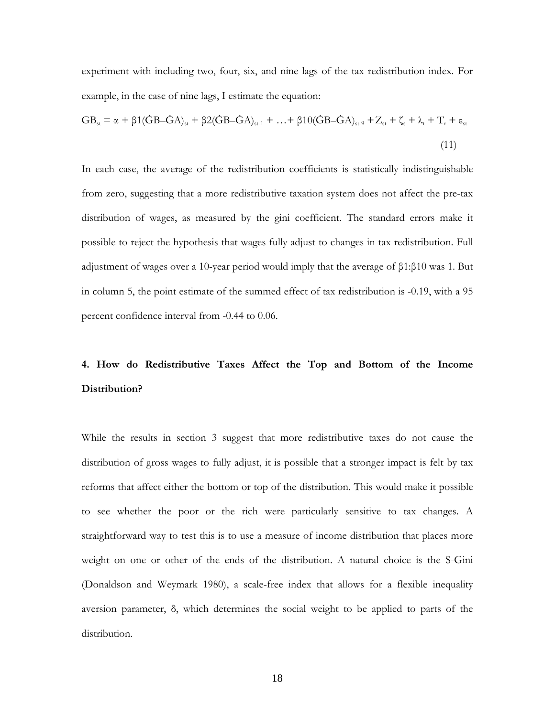<span id="page-17-0"></span>experiment with including two, four, six, and nine lags of the tax redistribution index. For example, in the case of nine lags, I estimate the equation:

$$
GB_{st} = \alpha + \beta 1(\dot{G}B - \dot{G}A)_{st} + \beta 2(\dot{G}B - \dot{G}A)_{st-1} + ... + \beta 10(\dot{G}B - \dot{G}A)_{st-9} + Z_{st} + \zeta_s + \lambda_t + T_r + \epsilon_{st}
$$
\n(11)

In each case, the average of the redistribution coefficients is statistically indistinguishable from zero, suggesting that a more redistributive taxation system does not affect the pre-tax distribution of wages, as measured by the gini coefficient. The standard errors make it possible to reject the hypothesis that wages fully adjust to changes in tax redistribution. Full adjustment of wages over a 10-year period would imply that the average of β1:β10 was 1. But in column 5, the point estimate of the summed effect of tax redistribution is -0.19, with a 95 percent confidence interval from -0.44 to 0.06.

## **4. How do Redistributive Taxes Affect the Top and Bottom of the Income Distribution?**

While the results in section 3 suggest that more redistributive taxes do not cause the distribution of gross wages to fully adjust, it is possible that a stronger impact is felt by tax reforms that affect either the bottom or top of the distribution. This would make it possible to see whether the poor or the rich were particularly sensitive to tax changes. A straightforward way to test this is to use a measure of income distribution that places more weight on one or other of the ends of the distribution. A natural choice is the S-Gini (Donaldson and Weymark 1980), a scale-free index that allows for a flexible inequality aversion parameter, δ, which determines the social weight to be applied to parts of the distribution.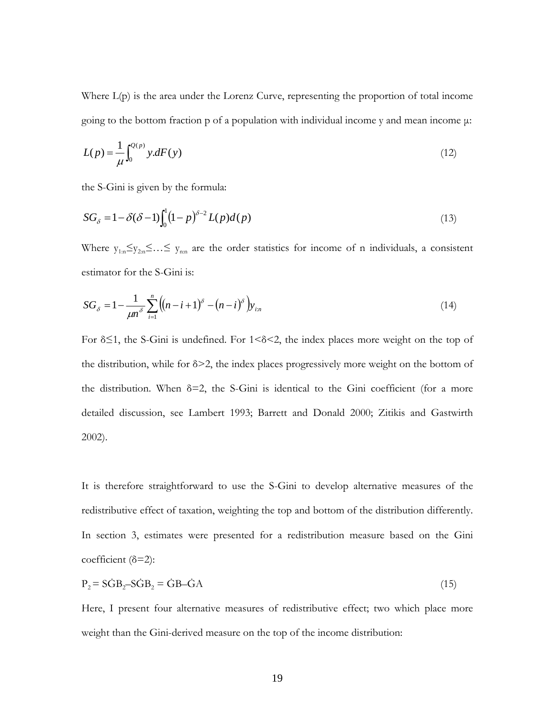Where L(p) is the area under the Lorenz Curve, representing the proportion of total income going to the bottom fraction p of a population with individual income y and mean income  $\mu$ :

$$
L(p) = \frac{1}{\mu} \int_0^{Q(p)} y \, dF(y) \tag{12}
$$

the S-Gini is given by the formula:

$$
SG_{\delta} = 1 - \delta(\delta - 1) \int_0^1 (1 - p)^{\delta - 2} L(p) d(p)
$$
\n(13)

Where  $y_{1:n} \leq y_{2:n} \leq ... \leq y_{nn}$  are the order statistics for income of n individuals, a consistent estimator for the S-Gini is:

$$
SG_{\delta} = 1 - \frac{1}{\mu n^{\delta}} \sum_{i=1}^{n} \left( (n - i + 1)^{\delta} - (n - i)^{\delta} \right) y_{i:n}
$$
(14)

For δ≤1, the S-Gini is undefined. For 1<δ<2, the index places more weight on the top of the distribution, while for  $\delta$  > 2, the index places progressively more weight on the bottom of the distribution. When  $\delta=2$ , the S-Gini is identical to the Gini coefficient (for a more detailed discussion, see Lambert 1993; Barrett and Donald 2000; Zitikis and Gastwirth 2002).

It is therefore straightforward to use the S-Gini to develop alternative measures of the redistributive effect of taxation, weighting the top and bottom of the distribution differently. In section 3, estimates were presented for a redistribution measure based on the Gini coefficient (δ=2):

$$
P_2 = S\dot{G}B_2 - S\dot{G}B_2 = \dot{G}B - \dot{G}A\tag{15}
$$

Here, I present four alternative measures of redistributive effect; two which place more weight than the Gini-derived measure on the top of the income distribution: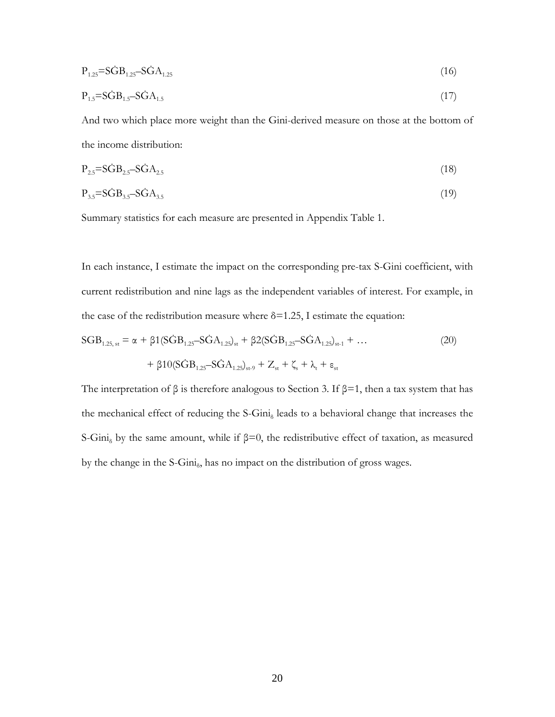$$
P_{1.25} = S\dot{G}B_{1.25} - S\dot{G}A_{1.25} \tag{16}
$$

$$
P_{1.5} = S\dot{G}B_{1.5} - S\dot{G}A_{1.5} \tag{17}
$$

And two which place more weight than the Gini-derived measure on those at the bottom of the income distribution:

$$
P_{2.5} = S\dot{G}B_{2.5} - S\dot{G}A_{2.5} \tag{18}
$$

$$
P_{3.5} = S\dot{G}B_{3.5} - S\dot{G}A_{3.5} \tag{19}
$$

Summary statistics for each measure are presented in Appendix Table 1.

In each instance, I estimate the impact on the corresponding pre-tax S-Gini coefficient, with current redistribution and nine lags as the independent variables of interest. For example, in the case of the redistribution measure where  $\delta$ =1.25, I estimate the equation:

$$
SGB_{1.25, st} = \alpha + \beta 1(SGB_{1.25} - SGA_{1.25})_{st} + \beta 2(SGB_{1.25} - SGA_{1.25})_{st-1} + ...
$$
  
+ 
$$
\beta 10(SGB_{1.25} - SGA_{1.25})_{st-9} + Z_{st} + \zeta_s + \lambda_t + \varepsilon_{st}
$$
 (20)

The interpretation of  $\beta$  is therefore analogous to Section 3. If  $\beta$ =1, then a tax system that has the mechanical effect of reducing the S-Gini $_{\delta}$  leads to a behavioral change that increases the S-Gini<sub>s</sub> by the same amount, while if  $\beta=0$ , the redistributive effect of taxation, as measured by the change in the S-Gini $_{5}$ , has no impact on the distribution of gross wages.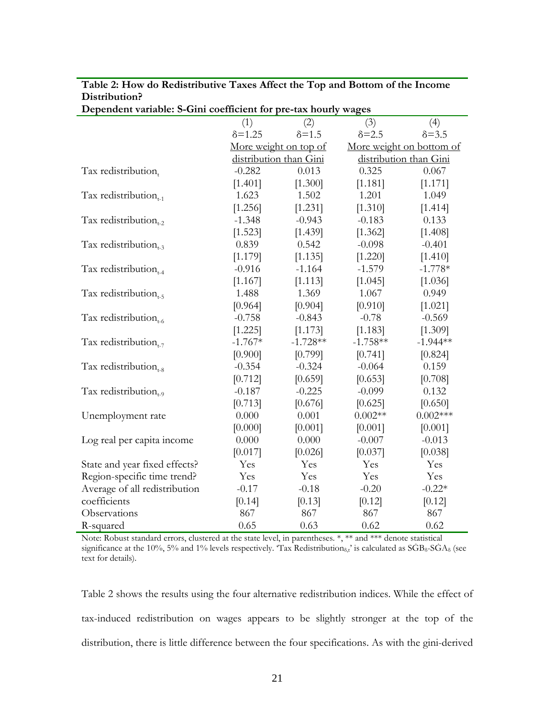| Dependent variable. S-Glin coemerciit for pre-tax hourly wages |                 |                        |                |                          |
|----------------------------------------------------------------|-----------------|------------------------|----------------|--------------------------|
|                                                                | (1)             | (2)                    | (3)            | (4)                      |
|                                                                | $\delta = 1.25$ | $\delta = 1.5$         | $\delta = 2.5$ | $\delta = 3.5$           |
|                                                                |                 | More weight on top of  |                | More weight on bottom of |
|                                                                |                 | distribution than Gini |                | distribution than Gini   |
| Tax redistribution,                                            | $-0.282$        | 0.013                  | 0.325          | 0.067                    |
|                                                                | [1.401]         | [1.300]                | [1.181]        | [1.171]                  |
| Tax redistribution $_{t-1}$                                    | 1.623           | 1.502                  | 1.201          | 1.049                    |
|                                                                | [1.256]         | [1.231]                | [1.310]        | [1.414]                  |
| Tax redistribution $_{t-2}$                                    | $-1.348$        | $-0.943$               | $-0.183$       | 0.133                    |
|                                                                | [1.523]         | [1.439]                | [1.362]        | [1.408]                  |
| Tax redistribution $_{t=3}$                                    | 0.839           | 0.542                  | $-0.098$       | $-0.401$                 |
|                                                                | [1.179]         | [1.135]                | [1.220]        | [1.410]                  |
| Tax redistribution $_{t=4}$                                    | $-0.916$        | $-1.164$               | $-1.579$       | $-1.778*$                |
|                                                                | [1.167]         | [1.113]                | [1.045]        | [1.036]                  |
| Tax redistribution $_{t=5}$                                    | 1.488           | 1.369                  | 1.067          | 0.949                    |
|                                                                | [0.964]         | [0.904]                | [0.910]        | [1.021]                  |
| Tax redistribution $_{t=6}$                                    | $-0.758$        | $-0.843$               | $-0.78$        | $-0.569$                 |
|                                                                | [1.225]         | [1.173]                | [1.183]        | [1.309]                  |
| Tax redistribution $_{t-7}$                                    | $-1.767*$       | $-1.728**$             | $-1.758**$     | $-1.944**$               |
|                                                                | [0.900]         | [0.799]                | [0.741]        | [0.824]                  |
| Tax redistribution $_{4-8}$                                    | $-0.354$        | $-0.324$               | $-0.064$       | 0.159                    |
|                                                                | [0.712]         | [0.659]                | [0.653]        | [0.708]                  |
| Tax redistribution $_{t=0}$                                    | $-0.187$        | $-0.225$               | $-0.099$       | 0.132                    |
|                                                                | [0.713]         | [0.676]                | [0.625]        | [0.650]                  |
| Unemployment rate                                              | 0.000           | 0.001                  | $0.002**$      | $0.002***$               |
|                                                                | [0.000]         | [0.001]                | [0.001]        | [0.001]                  |
| Log real per capita income                                     | 0.000           | 0.000                  | $-0.007$       | $-0.013$                 |
|                                                                | [0.017]         | [0.026]                | [0.037]        | [0.038]                  |
| State and year fixed effects?                                  | Yes             | Yes                    | Yes            | Yes                      |
| Region-specific time trend?                                    | Yes             | Yes                    | Yes            | Yes                      |
| Average of all redistribution                                  | $-0.17$         | $-0.18$                | $-0.20$        | $-0.22*$                 |
| coefficients                                                   | [0.14]          | [0.13]                 | [0.12]         | [0.12]                   |
| Observations                                                   | 867             | 867                    | 867            | 867                      |
| R-squared                                                      | 0.65            | 0.63                   | 0.62           | 0.62                     |

**Table 2: How do Redistributive Taxes Affect the Top and Bottom of the Income Distribution? Dependent variable: S-Gini coefficient for pre-tax hourly wages** 

Note: Robust standard errors, clustered at the state level, in parentheses. \*, \*\* and \*\*\* denote statistical significance at the 10%, 5% and 1% levels respectively. 'Tax Redistribution<sub> $\delta_{\rm t}$ </sub>' is calculated as  $SGB_{\delta}$ - $SGA_{\delta}$  (see text for details).

Table 2 shows the results using the four alternative redistribution indices. While the effect of tax-induced redistribution on wages appears to be slightly stronger at the top of the distribution, there is little difference between the four specifications. As with the gini-derived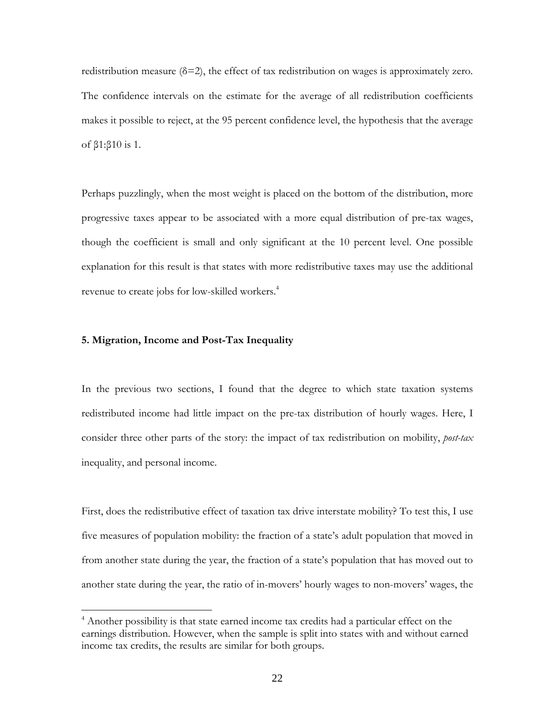<span id="page-21-0"></span>redistribution measure  $(\delta = 2)$ , the effect of tax redistribution on wages is approximately zero. The confidence intervals on the estimate for the average of all redistribution coefficients makes it possible to reject, at the 95 percent confidence level, the hypothesis that the average of β1:β10 is 1.

Perhaps puzzlingly, when the most weight is placed on the bottom of the distribution, more progressive taxes appear to be associated with a more equal distribution of pre-tax wages, though the coefficient is small and only significant at the 10 percent level. One possible explanation for this result is that states with more redistributive taxes may use the additional revenue to create jobs for low-skilled workers.<sup>[4](#page-21-1)</sup>

#### **5. Migration, Income and Post-Tax Inequality**

 $\overline{a}$ 

In the previous two sections, I found that the degree to which state taxation systems redistributed income had little impact on the pre-tax distribution of hourly wages. Here, I consider three other parts of the story: the impact of tax redistribution on mobility, *post-tax*  inequality, and personal income.

First, does the redistributive effect of taxation tax drive interstate mobility? To test this, I use five measures of population mobility: the fraction of a state's adult population that moved in from another state during the year, the fraction of a state's population that has moved out to another state during the year, the ratio of in-movers' hourly wages to non-movers' wages, the

<span id="page-21-1"></span><sup>&</sup>lt;sup>4</sup> Another possibility is that state earned income tax credits had a particular effect on the earnings distribution. However, when the sample is split into states with and without earned income tax credits, the results are similar for both groups.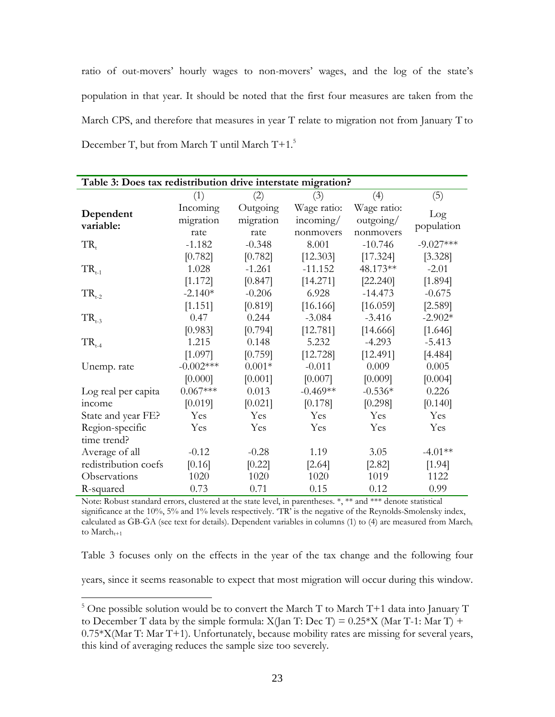ratio of out-movers' hourly wages to non-movers' wages, and the log of the state's population in that year. It should be noted that the first four measures are taken from the March CPS, and therefore that measures in year T relate to migration not from January T to December T, but from March T until March T+1.<sup>5</sup>

| Table 3: Does tax redistribution drive interstate migration? |             |           |             |             |             |
|--------------------------------------------------------------|-------------|-----------|-------------|-------------|-------------|
|                                                              | (1)         | (2)       | (3)         | (4)         | (5)         |
| Dependent                                                    | Incoming    | Outgoing  | Wage ratio: | Wage ratio: | Log         |
| variable:                                                    | migration   | migration | incoming/   | outgoing/   | population  |
|                                                              | rate        | rate      | nonmovers   | nonmovers   |             |
| $TR_{t}$                                                     | $-1.182$    | $-0.348$  | 8.001       | $-10.746$   | $-9.027***$ |
|                                                              | [0.782]     | [0.782]   | [12.303]    | [17.324]    | [3.328]     |
| $TR_{t-1}$                                                   | 1.028       | $-1.261$  | $-11.152$   | 48.173**    | $-2.01$     |
|                                                              | [1.172]     | [0.847]   | [14.271]    | [22.240]    | [1.894]     |
| $TR_{t-2}$                                                   | $-2.140*$   | $-0.206$  | 6.928       | $-14.473$   | $-0.675$    |
|                                                              | [1.151]     | [0.819]   | [16.166]    | [16.059]    | [2.589]     |
| $TR_{t-3}$                                                   | 0.47        | 0.244     | $-3.084$    | $-3.416$    | $-2.902*$   |
|                                                              | [0.983]     | [0.794]   | [12.781]    | [14.666]    | [1.646]     |
| $TR_{t-4}$                                                   | 1.215       | 0.148     | 5.232       | $-4.293$    | $-5.413$    |
|                                                              | [1.097]     | [0.759]   | [12.728]    | [12.491]    | [4.484]     |
| Unemp. rate                                                  | $-0.002***$ | $0.001*$  | $-0.011$    | 0.009       | 0.005       |
|                                                              | [0.000]     | [0.001]   | [0.007]     | [0.009]     | [0.004]     |
| Log real per capita                                          | $0.067***$  | 0.013     | $-0.469**$  | $-0.536*$   | 0.226       |
| income                                                       | [0.019]     | [0.021]   | [0.178]     | [0.298]     | [0.140]     |
| State and year FE?                                           | Yes         | Yes       | Yes         | Yes         | Yes         |
| Region-specific                                              | Yes         | Yes       | Yes         | Yes         | Yes         |
| time trend?                                                  |             |           |             |             |             |
| Average of all                                               | $-0.12$     | $-0.28$   | 1.19        | 3.05        | $-4.01**$   |
| redistribution coefs                                         | [0.16]      | [0.22]    | [2.64]      | [2.82]      | [1.94]      |
| Observations                                                 | 1020        | 1020      | 1020        | 1019        | 1122        |
| R-squared                                                    | 0.73        | 0.71      | 0.15        | 0.12        | 0.99        |

Note: Robust standard errors, clustered at the state level, in parentheses. \*, \*\* and \*\*\* denote statistical significance at the 10%, 5% and 1% levels respectively.  $T\overline{R}$  is the negative of the Reynolds-Smolensky index, calculated as  $\overrightarrow{GB-GA}$  (see text for details). Dependent variables in columns (1) to (4) are measured from March<sub>t</sub> to  $March_{t+1}$ 

Table 3 focuses only on the effects in the year of the tax change and the following four years, since it seems reasonable to expect that most migration will occur during this window.

 $\overline{a}$ 

<span id="page-22-0"></span><sup>&</sup>lt;sup>5</sup> One possible solution would be to convert the March T to March T+1 data into January T to December T data by the simple formula:  $X(Jan T: Dec T) = 0.25*X (Mar T-1: Mar T) +$ 0.75\*X(Mar T: Mar T+1). Unfortunately, because mobility rates are missing for several years, this kind of averaging reduces the sample size too severely.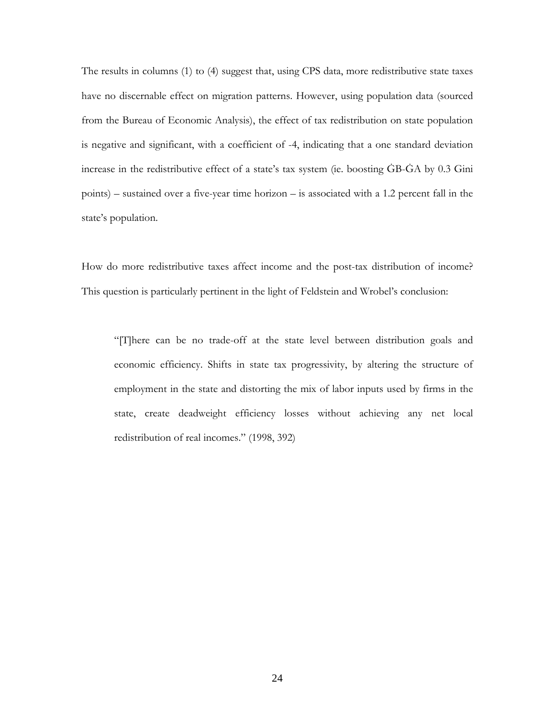The results in columns (1) to (4) suggest that, using CPS data, more redistributive state taxes have no discernable effect on migration patterns. However, using population data (sourced from the Bureau of Economic Analysis), the effect of tax redistribution on state population is negative and significant, with a coefficient of -4, indicating that a one standard deviation increase in the redistributive effect of a state's tax system (ie. boosting ĠB-ĠA by 0.3 Gini points) – sustained over a five-year time horizon – is associated with a 1.2 percent fall in the state's population.

How do more redistributive taxes affect income and the post-tax distribution of income? This question is particularly pertinent in the light of Feldstein and Wrobel's conclusion:

"[T]here can be no trade-off at the state level between distribution goals and economic efficiency. Shifts in state tax progressivity, by altering the structure of employment in the state and distorting the mix of labor inputs used by firms in the state, create deadweight efficiency losses without achieving any net local redistribution of real incomes." (1998, 392)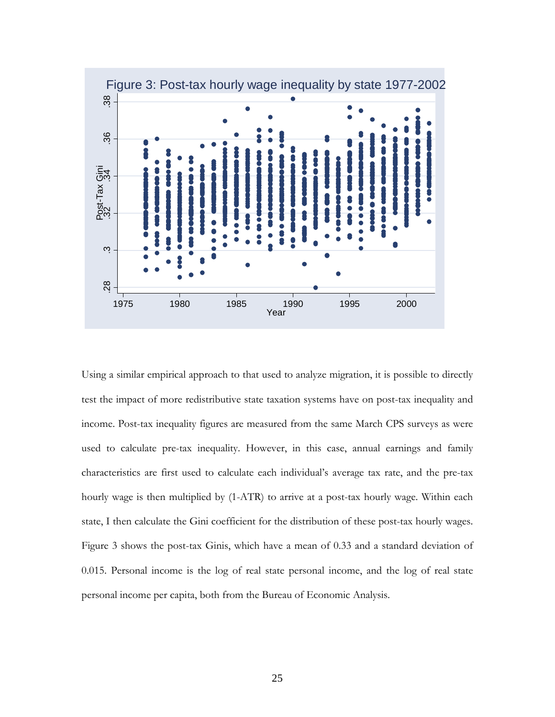

Using a similar empirical approach to that used to analyze migration, it is possible to directly test the impact of more redistributive state taxation systems have on post-tax inequality and income. Post-tax inequality figures are measured from the same March CPS surveys as were used to calculate pre-tax inequality. However, in this case, annual earnings and family characteristics are first used to calculate each individual's average tax rate, and the pre-tax hourly wage is then multiplied by (1-ATR) to arrive at a post-tax hourly wage. Within each state, I then calculate the Gini coefficient for the distribution of these post-tax hourly wages. Figure 3 shows the post-tax Ginis, which have a mean of 0.33 and a standard deviation of 0.015. Personal income is the log of real state personal income, and the log of real state personal income per capita, both from the Bureau of Economic Analysis.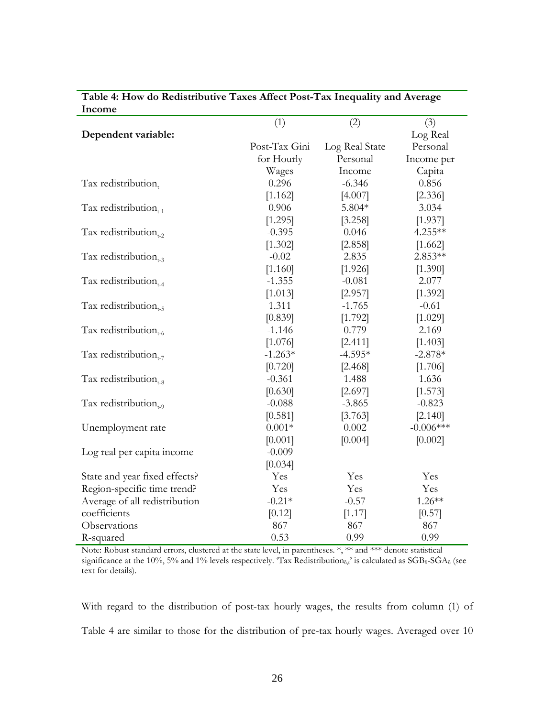| THCOHIE                       |               |                |             |
|-------------------------------|---------------|----------------|-------------|
|                               | (1)           | (2)            | (3)         |
| Dependent variable:           |               |                | Log Real    |
|                               | Post-Tax Gini | Log Real State | Personal    |
|                               | for Hourly    | Personal       | Income per  |
|                               | Wages         | Income         | Capita      |
| Tax redistribution,           | 0.296         | $-6.346$       | 0.856       |
|                               | [1.162]       | [4.007]        | [2.336]     |
| Tax redistribution $_{t-1}$   | 0.906         | 5.804*         | 3.034       |
|                               | [1.295]       | [3.258]        | [1.937]     |
| Tax redistribution $_{t-2}$   | $-0.395$      | 0.046          | 4.255**     |
|                               | [1.302]       | [2.858]        | [1.662]     |
| Tax redistribution $_{t=3}$   | $-0.02$       | 2.835          | 2.853**     |
|                               | [1.160]       | [1.926]        | [1.390]     |
| Tax redistribution $_{1.4}$   | $-1.355$      | $-0.081$       | 2.077       |
|                               | [1.013]       | [2.957]        | [1.392]     |
| Tax redistribution $_{1.5}$   | 1.311         | $-1.765$       | $-0.61$     |
|                               | [0.839]       | [1.792]        | [1.029]     |
| Tax redistribution $_{t=6}$   | $-1.146$      | 0.779          | 2.169       |
|                               | [1.076]       | [2.411]        | [1.403]     |
| Tax redistribution $_{t-7}$   | $-1.263*$     | $-4.595*$      | $-2.878*$   |
|                               | [0.720]       | [2.468]        | [1.706]     |
| Tax redistribution $_{t=8}$   | $-0.361$      | 1.488          | 1.636       |
|                               | [0.630]       | [2.697]        | [1.573]     |
| Tax redistribution $_{t=0}$   | $-0.088$      | $-3.865$       | $-0.823$    |
|                               | [0.581]       | [3.763]        | [2.140]     |
| Unemployment rate             | $0.001*$      | 0.002          | $-0.006***$ |
|                               | [0.001]       | [0.004]        | [0.002]     |
| Log real per capita income    | $-0.009$      |                |             |
|                               | [0.034]       |                |             |
| State and year fixed effects? | Yes           | Yes            | Yes         |
| Region-specific time trend?   | Yes           | Yes            | Yes         |
| Average of all redistribution | $-0.21*$      | $-0.57$        | $1.26**$    |
| coefficients                  | [0.12]        | [1.17]         | [0.57]      |
| Observations                  | 867           | 867            | 867         |
| R-squared                     | 0.53          | 0.99           | 0.99        |

**Table 4: How do Redistributive Taxes Affect Post-Tax Inequality and Average Income**

Note: Robust standard errors, clustered at the state level, in parentheses. \*, \*\* and \*\*\* denote statistical significance at the 10%, 5% and 1% levels respectively. 'Tax Redistribution<sub> $\delta$ ,t</sub>' is calculated as SGB<sub> $\delta$ </sub>-SGA<sub> $\delta$ </sub> (see text for details).

With regard to the distribution of post-tax hourly wages, the results from column (1) of Table 4 are similar to those for the distribution of pre-tax hourly wages. Averaged over 10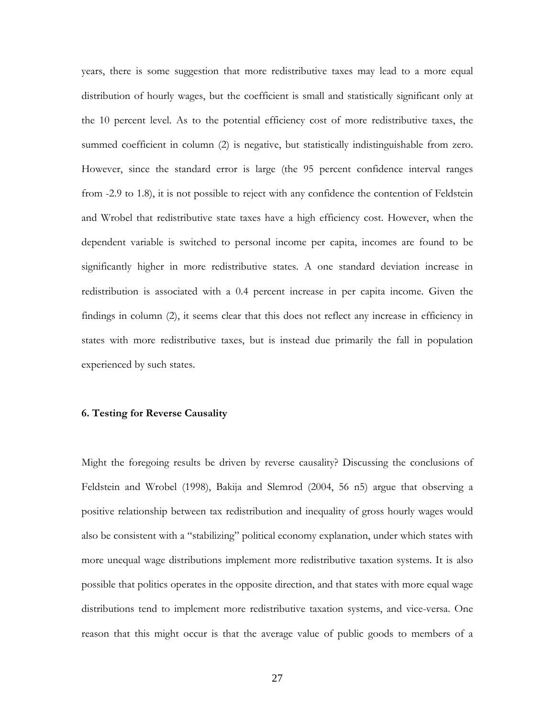<span id="page-26-0"></span>years, there is some suggestion that more redistributive taxes may lead to a more equal distribution of hourly wages, but the coefficient is small and statistically significant only at the 10 percent level. As to the potential efficiency cost of more redistributive taxes, the summed coefficient in column (2) is negative, but statistically indistinguishable from zero. However, since the standard error is large (the 95 percent confidence interval ranges from -2.9 to 1.8), it is not possible to reject with any confidence the contention of Feldstein and Wrobel that redistributive state taxes have a high efficiency cost. However, when the dependent variable is switched to personal income per capita, incomes are found to be significantly higher in more redistributive states. A one standard deviation increase in redistribution is associated with a 0.4 percent increase in per capita income. Given the findings in column (2), it seems clear that this does not reflect any increase in efficiency in states with more redistributive taxes, but is instead due primarily the fall in population experienced by such states.

#### **6. Testing for Reverse Causality**

Might the foregoing results be driven by reverse causality? Discussing the conclusions of Feldstein and Wrobel (1998), Bakija and Slemrod (2004, 56 n5) argue that observing a positive relationship between tax redistribution and inequality of gross hourly wages would also be consistent with a "stabilizing" political economy explanation, under which states with more unequal wage distributions implement more redistributive taxation systems. It is also possible that politics operates in the opposite direction, and that states with more equal wage distributions tend to implement more redistributive taxation systems, and vice-versa. One reason that this might occur is that the average value of public goods to members of a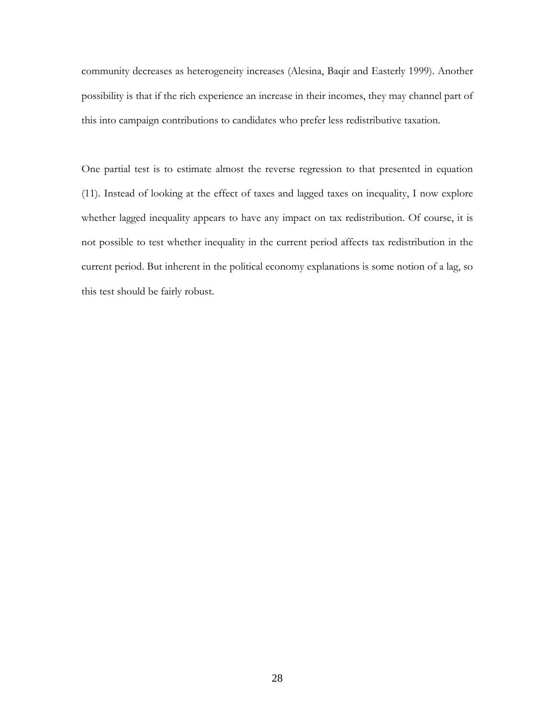community decreases as heterogeneity increases (Alesina, Baqir and Easterly 1999). Another possibility is that if the rich experience an increase in their incomes, they may channel part of this into campaign contributions to candidates who prefer less redistributive taxation.

One partial test is to estimate almost the reverse regression to that presented in equation (11). Instead of looking at the effect of taxes and lagged taxes on inequality, I now explore whether lagged inequality appears to have any impact on tax redistribution. Of course, it is not possible to test whether inequality in the current period affects tax redistribution in the current period. But inherent in the political economy explanations is some notion of a lag, so this test should be fairly robust.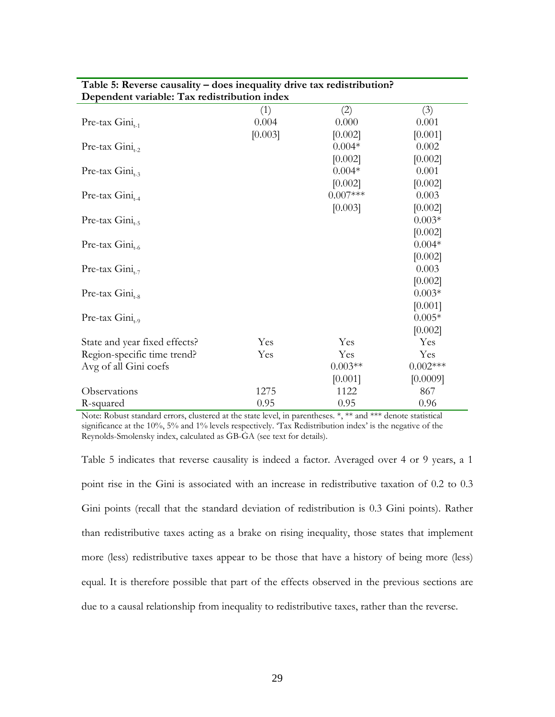| Dependent variable: Tax redistribution index |         |            |             |
|----------------------------------------------|---------|------------|-------------|
|                                              | (1)     | (2)        | (3)         |
| Pre-tax $Gini_{t-1}$                         | 0.004   | 0.000      | 0.001       |
|                                              | [0.003] | [0.002]    | [0.001]     |
| Pre-tax $Gini_{t-2}$                         |         | $0.004*$   | 0.002       |
|                                              |         | [0.002]    | [0.002]     |
| Pre-tax $Gini_{t-3}$                         |         | $0.004*$   | 0.001       |
|                                              |         | [0.002]    | [0.002]     |
| Pre-tax $Gini_{t-4}$                         |         | $0.007***$ | 0.003       |
|                                              |         | [0.003]    | [0.002]     |
| Pre-tax $Gini_{t=5}$                         |         |            | $0.003*$    |
|                                              |         |            | [0.002]     |
| Pre-tax $Gini_{t-6}$                         |         |            | $0.004*$    |
|                                              |         |            | [0.002]     |
| Pre-tax $Gini_{t-7}$                         |         |            | 0.003       |
|                                              |         |            | [0.002]     |
| Pre-tax $Gini_{t-8}$                         |         |            | $0.003*$    |
|                                              |         |            | [0.001]     |
| Pre-tax $Gini_{t=9}$                         |         |            | $0.005*$    |
|                                              |         |            | [0.002]     |
| State and year fixed effects?                | Yes     | Yes        | Yes         |
| Region-specific time trend?                  | Yes     | Yes        | Yes         |
| Avg of all Gini coefs                        |         | $0.003**$  | $0.002$ *** |
|                                              |         | [0.001]    | [0.0009]    |
| Observations                                 | 1275    | 1122       | 867         |
| R-squared                                    | 0.95    | 0.95       | 0.96        |

# **Table 5: Reverse causality – does inequality drive tax redistribution?**

Note: Robust standard errors, clustered at the state level, in parentheses. \*, \*\* and \*\*\* denote statistical significance at the 10%, 5% and 1% levels respectively. 'Tax Redistribution index' is the negative of the Reynolds-Smolensky index, calculated as ĠB-ĠA (see text for details).

Table 5 indicates that reverse causality is indeed a factor. Averaged over 4 or 9 years, a 1 point rise in the Gini is associated with an increase in redistributive taxation of 0.2 to 0.3 Gini points (recall that the standard deviation of redistribution is 0.3 Gini points). Rather than redistributive taxes acting as a brake on rising inequality, those states that implement more (less) redistributive taxes appear to be those that have a history of being more (less) equal. It is therefore possible that part of the effects observed in the previous sections are due to a causal relationship from inequality to redistributive taxes, rather than the reverse.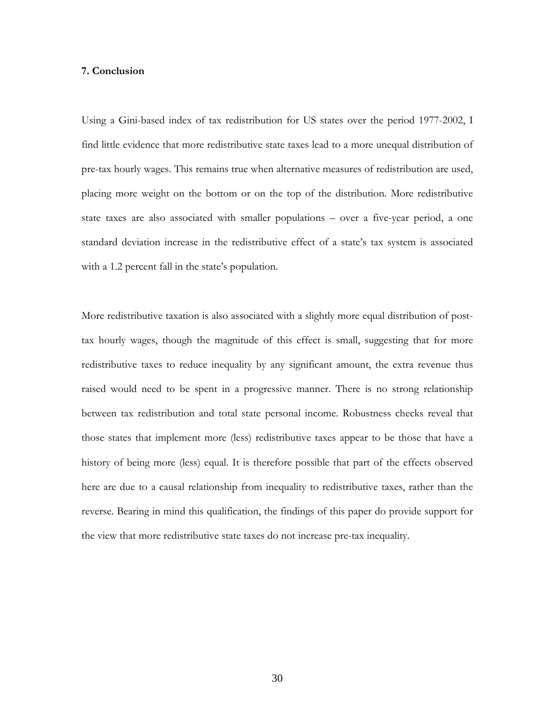#### <span id="page-29-0"></span>**7. Conclusion**

Using a Gini-based index of tax redistribution for US states over the period 1977-2002, I find little evidence that more redistributive state taxes lead to a more unequal distribution of pre-tax hourly wages. This remains true when alternative measures of redistribution are used, placing more weight on the bottom or on the top of the distribution. More redistributive state taxes are also associated with smaller populations – over a five-year period, a one standard deviation increase in the redistributive effect of a state's tax system is associated with a 1.2 percent fall in the state's population.

More redistributive taxation is also associated with a slightly more equal distribution of posttax hourly wages, though the magnitude of this effect is small, suggesting that for more redistributive taxes to reduce inequality by any significant amount, the extra revenue thus raised would need to be spent in a progressive manner. There is no strong relationship between tax redistribution and total state personal income. Robustness checks reveal that those states that implement more (less) redistributive taxes appear to be those that have a history of being more (less) equal. It is therefore possible that part of the effects observed here are due to a causal relationship from inequality to redistributive taxes, rather than the reverse. Bearing in mind this qualification, the findings of this paper do provide support for the view that more redistributive state taxes do not increase pre-tax inequality.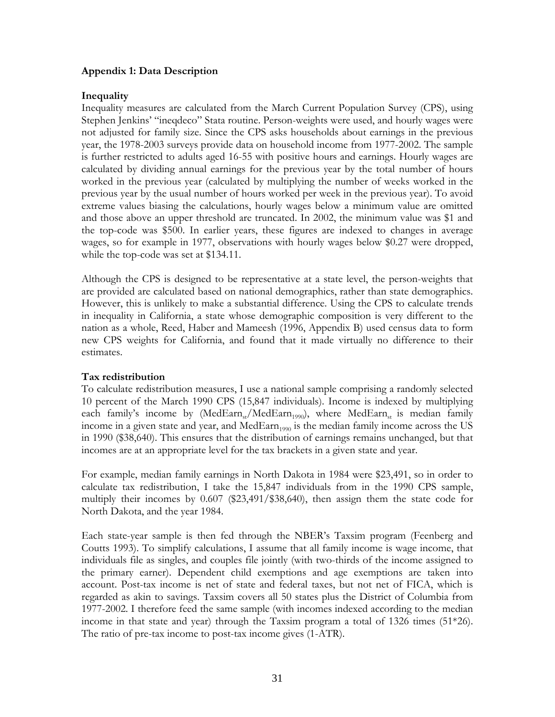#### <span id="page-30-0"></span>**Appendix 1: Data Description**

#### **Inequality**

Inequality measures are calculated from the March Current Population Survey (CPS), using Stephen Jenkins' "ineqdeco" Stata routine. Person-weights were used, and hourly wages were not adjusted for family size. Since the CPS asks households about earnings in the previous year, the 1978-2003 surveys provide data on household income from 1977-2002. The sample is further restricted to adults aged 16-55 with positive hours and earnings. Hourly wages are calculated by dividing annual earnings for the previous year by the total number of hours worked in the previous year (calculated by multiplying the number of weeks worked in the previous year by the usual number of hours worked per week in the previous year). To avoid extreme values biasing the calculations, hourly wages below a minimum value are omitted and those above an upper threshold are truncated. In 2002, the minimum value was \$1 and the top-code was \$500. In earlier years, these figures are indexed to changes in average wages, so for example in 1977, observations with hourly wages below \$0.27 were dropped, while the top-code was set at \$134.11.

Although the CPS is designed to be representative at a state level, the person-weights that are provided are calculated based on national demographics, rather than state demographics. However, this is unlikely to make a substantial difference. Using the CPS to calculate trends in inequality in California, a state whose demographic composition is very different to the nation as a whole, Reed, Haber and Mameesh (1996, Appendix B) used census data to form new CPS weights for California, and found that it made virtually no difference to their estimates.

#### **Tax redistribution**

To calculate redistribution measures, I use a national sample comprising a randomly selected 10 percent of the March 1990 CPS (15,847 individuals). Income is indexed by multiplying each family's income by (MedEarn<sub>st</sub>/MedEarn<sub>1990</sub>), where MedEarn<sub>st</sub> is median family income in a given state and year, and Med $\mathrm{Earn}_{1990}$  is the median family income across the US in 1990 (\$38,640). This ensures that the distribution of earnings remains unchanged, but that incomes are at an appropriate level for the tax brackets in a given state and year.

For example, median family earnings in North Dakota in 1984 were \$23,491, so in order to calculate tax redistribution, I take the 15,847 individuals from in the 1990 CPS sample, multiply their incomes by 0.607 (\$23,491/\$38,640), then assign them the state code for North Dakota, and the year 1984.

Each state-year sample is then fed through the NBER's Taxsim program (Feenberg and Coutts 1993). To simplify calculations, I assume that all family income is wage income, that individuals file as singles, and couples file jointly (with two-thirds of the income assigned to the primary earner). Dependent child exemptions and age exemptions are taken into account. Post-tax income is net of state and federal taxes, but not net of FICA, which is regarded as akin to savings. Taxsim covers all 50 states plus the District of Columbia from 1977-2002. I therefore feed the same sample (with incomes indexed according to the median income in that state and year) through the Taxsim program a total of 1326 times (51\*26). The ratio of pre-tax income to post-tax income gives (1-ATR).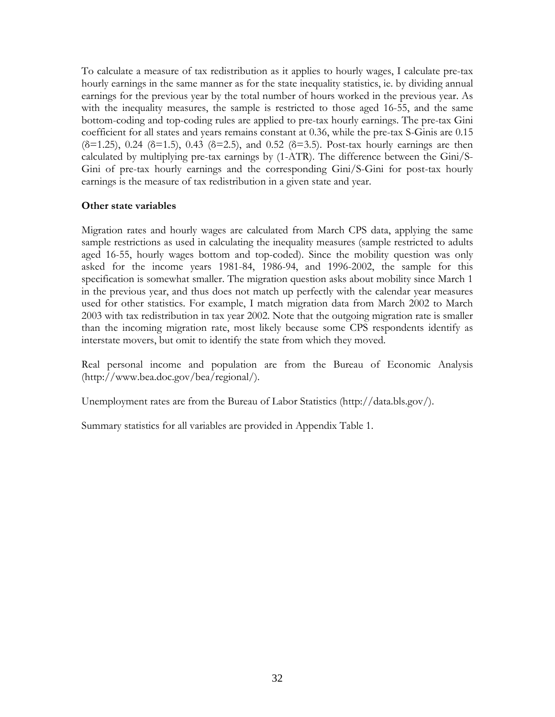To calculate a measure of tax redistribution as it applies to hourly wages, I calculate pre-tax hourly earnings in the same manner as for the state inequality statistics, ie. by dividing annual earnings for the previous year by the total number of hours worked in the previous year. As with the inequality measures, the sample is restricted to those aged 16-55, and the same bottom-coding and top-coding rules are applied to pre-tax hourly earnings. The pre-tax Gini coefficient for all states and years remains constant at 0.36, while the pre-tax S-Ginis are 0.15 ( $\delta$ =1.25), 0.24 ( $\delta$ =1.5), 0.43 ( $\delta$ =2.5), and 0.52 ( $\delta$ =3.5). Post-tax hourly earnings are then calculated by multiplying pre-tax earnings by (1-ATR). The difference between the Gini/S-Gini of pre-tax hourly earnings and the corresponding Gini/S-Gini for post-tax hourly earnings is the measure of tax redistribution in a given state and year.

#### **Other state variables**

Migration rates and hourly wages are calculated from March CPS data, applying the same sample restrictions as used in calculating the inequality measures (sample restricted to adults aged 16-55, hourly wages bottom and top-coded). Since the mobility question was only asked for the income years 1981-84, 1986-94, and 1996-2002, the sample for this specification is somewhat smaller. The migration question asks about mobility since March 1 in the previous year, and thus does not match up perfectly with the calendar year measures used for other statistics. For example, I match migration data from March 2002 to March 2003 with tax redistribution in tax year 2002. Note that the outgoing migration rate is smaller than the incoming migration rate, most likely because some CPS respondents identify as interstate movers, but omit to identify the state from which they moved.

Real personal income and population are from the Bureau of Economic Analysis (http://www.bea.doc.gov/bea/regional/).

Unemployment rates are from the Bureau of Labor Statistics (http://data.bls.gov/).

Summary statistics for all variables are provided in Appendix Table 1.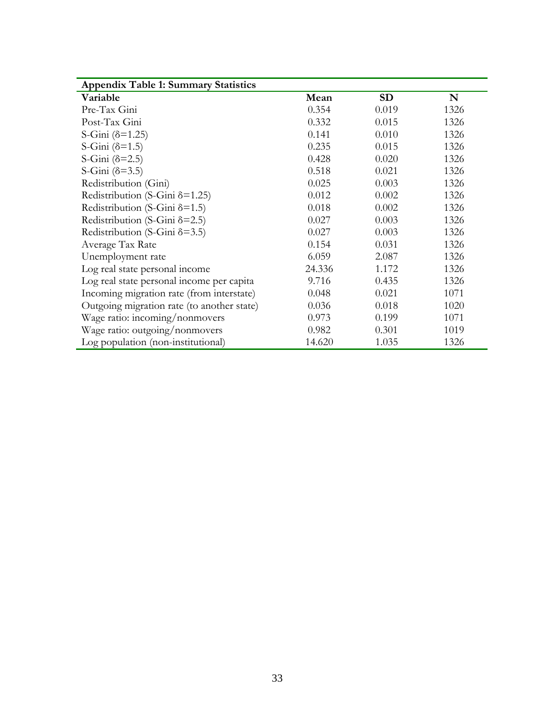| Variable                                   | Mean   | <b>SD</b> | N    |
|--------------------------------------------|--------|-----------|------|
| Pre-Tax Gini                               | 0.354  | 0.019     | 1326 |
| Post-Tax Gini                              | 0.332  | 0.015     | 1326 |
| S-Gini $(\delta = 1.25)$                   | 0.141  | 0.010     | 1326 |
| S-Gini $(\delta = 1.5)$                    | 0.235  | 0.015     | 1326 |
| S-Gini $(\delta=2.5)$                      | 0.428  | 0.020     | 1326 |
| S-Gini $(\delta=3.5)$                      | 0.518  | 0.021     | 1326 |
| Redistribution (Gini)                      | 0.025  | 0.003     | 1326 |
| Redistribution (S-Gini $\delta$ =1.25)     | 0.012  | 0.002     | 1326 |
| Redistribution (S-Gini $\delta$ =1.5)      | 0.018  | 0.002     | 1326 |
| Redistribution (S-Gini $\delta$ =2.5)      | 0.027  | 0.003     | 1326 |
| Redistribution (S-Gini 8=3.5)              | 0.027  | 0.003     | 1326 |
| Average Tax Rate                           | 0.154  | 0.031     | 1326 |
| Unemployment rate                          | 6.059  | 2.087     | 1326 |
| Log real state personal income             | 24.336 | 1.172     | 1326 |
| Log real state personal income per capita  | 9.716  | 0.435     | 1326 |
| Incoming migration rate (from interstate)  | 0.048  | 0.021     | 1071 |
| Outgoing migration rate (to another state) | 0.036  | 0.018     | 1020 |
| Wage ratio: incoming/nonmovers             | 0.973  | 0.199     | 1071 |
| Wage ratio: outgoing/nonmovers             | 0.982  | 0.301     | 1019 |
| Log population (non-institutional)         | 14.620 | 1.035     | 1326 |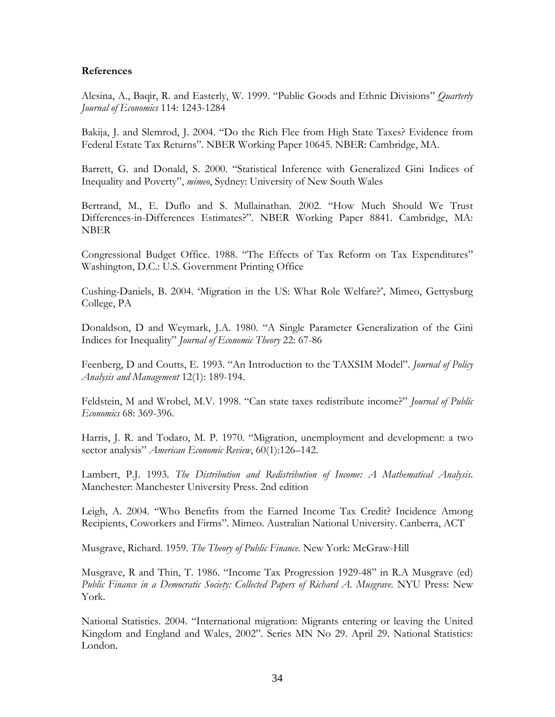#### <span id="page-33-0"></span>**References**

Alesina, A., Baqir, R. and Easterly, W. 1999. "Public Goods and Ethnic Divisions" *Quarterly Journal of Economics* 114: 1243-1284

Bakija, J. and Slemrod, J. 2004. "Do the Rich Flee from High State Taxes? Evidence from Federal Estate Tax Returns". NBER Working Paper 10645. NBER: Cambridge, MA.

Barrett, G. and Donald, S. 2000. "Statistical Inference with Generalized Gini Indices of Inequality and Poverty", *mimeo*, Sydney: University of New South Wales

Bertrand, M., E. Duflo and S. Mullainathan. 2002. "How Much Should We Trust Differences-in-Differences Estimates?". NBER Working Paper 8841. Cambridge, MA: NBER

Congressional Budget Office. 1988. "The Effects of Tax Reform on Tax Expenditures" Washington, D.C.: U.S. Government Printing Office

Cushing-Daniels, B. 2004. 'Migration in the US: What Role Welfare?', Mimeo, Gettysburg College, PA

Donaldson, D and Weymark, J.A. 1980. "A Single Parameter Generalization of the Gini Indices for Inequality" *Journal of Economic Theory* 22: 67-86

Feenberg, D and Coutts, E. 1993. "An Introduction to the TAXSIM Model". *Journal of Policy Analysis and Management* 12(1): 189-194.

Feldstein, M and Wrobel, M.V. 1998. "Can state taxes redistribute income?" *Journal of Public Economics* 68: 369-396.

Harris, J. R. and Todaro, M. P. 1970. "Migration, unemployment and development: a two sector analysis" *American Economic Review*, 60(1):126–142.

Lambert, P.J. 1993. *The Distribution and Redistribution of Income: A Mathematical Analysis*. Manchester: Manchester University Press. 2nd edition

Leigh, A. 2004. "Who Benefits from the Earned Income Tax Credit? Incidence Among Recipients, Coworkers and Firms". Mimeo. Australian National University. Canberra, ACT

Musgrave, Richard. 1959. *The Theory of Public Finance*. New York: McGraw-Hill

Musgrave, R and Thin, T. 1986. "Income Tax Progression 1929-48" in R.A Musgrave (ed) *Public Finance in a Democratic Society: Collected Papers of Richard A. Musgrave*. NYU Press: New York.

National Statistics. 2004. "International migration: Migrants entering or leaving the United Kingdom and England and Wales, 2002". Series MN No 29. April 29. National Statistics: London.